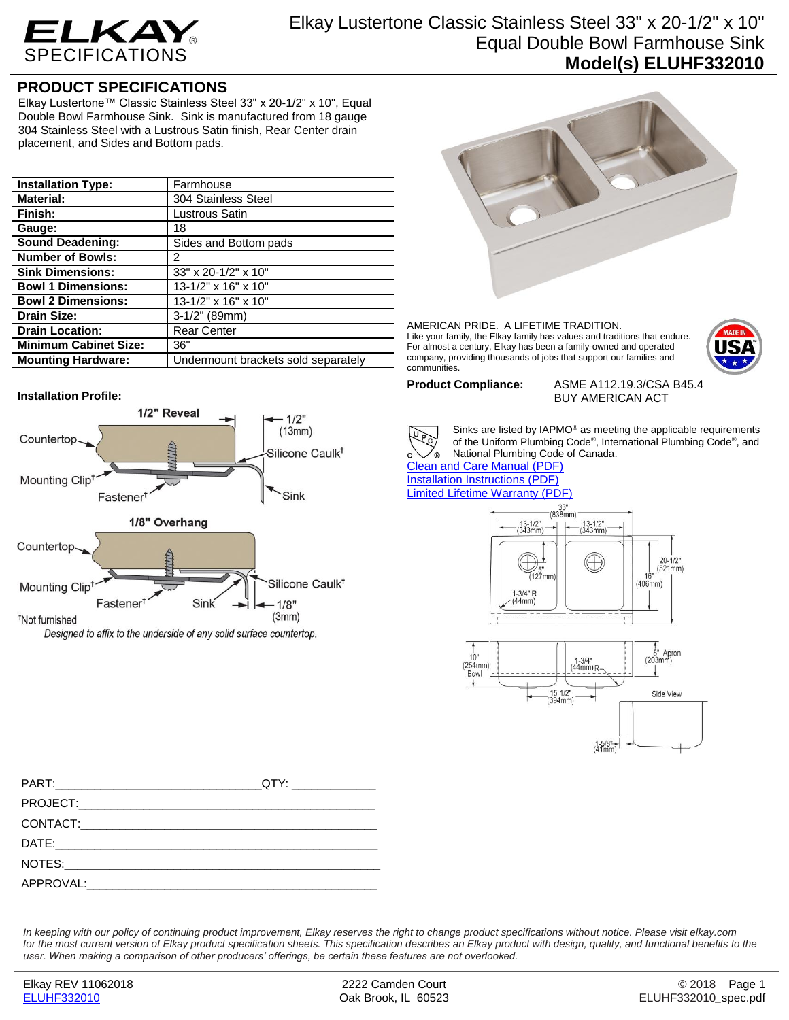

## Elkay Lustertone Classic Stainless Steel 33" x 20-1/2" x 10" Equal Double Bowl Farmhouse Sink **Model(s) ELUHF332010**

## **PRODUCT SPECIFICATIONS**

Elkay Lustertone™ Classic Stainless Steel 33" x 20-1/2" x 10", Equal Double Bowl Farmhouse Sink. Sink is manufactured from 18 gauge 304 Stainless Steel with a Lustrous Satin finish, Rear Center drain placement, and Sides and Bottom pads.

| <b>Installation Type:</b>    | Farmhouse                           |
|------------------------------|-------------------------------------|
| <b>Material:</b>             | 304 Stainless Steel                 |
| Finish:                      | Lustrous Satin                      |
| Gauge:                       | 18                                  |
| <b>Sound Deadening:</b>      | Sides and Bottom pads               |
| <b>Number of Bowls:</b>      | 2                                   |
| <b>Sink Dimensions:</b>      | 33" x 20-1/2" x 10"                 |
| <b>Bowl 1 Dimensions:</b>    | 13-1/2" x 16" x 10"                 |
| <b>Bowl 2 Dimensions:</b>    | 13-1/2" x 16" x 10"                 |
| <b>Drain Size:</b>           | $3-1/2"$ (89mm)                     |
| <b>Drain Location:</b>       | <b>Rear Center</b>                  |
| <b>Minimum Cabinet Size:</b> | 36"                                 |
| <b>Mounting Hardware:</b>    | Undermount brackets sold separately |

## **Installation Profile:**





AMERICAN PRIDE. A LIFETIME TRADITION. Like your family, the Elkay family has values and traditions that endure. For almost a century, Elkay has been a family-owned and operated company, providing thousands of jobs that support our families and communities.



**Product Compliance:** ASME A112.19.3/CSA B45.4 BUY AMERICAN ACT



Sinks are listed by IAPMO® as meeting the applicable requirements of the Uniform Plumbing Code®, International Plumbing Code®, and National Plumbing Code of Canada.

[Clean and Care Manual \(PDF\)](http://www.elkay.com/wcsstore/lkdocs/care-cleaning-install-warranty-sheets/residential%20and%20commercial%20care%20%20cleaning.pdf) [Installation Instructions \(PDF\)](http://www.elkay.com/wcsstore/lkdocs/care-cleaning-install-warranty-sheets/74180261.pdf) [Limited Lifetime Warranty](http://www.elkay.com/wcsstore/lkdocs/care-cleaning-install-warranty-sheets/residential%20sinks%20warranty.pdf) (PDF)





| PART: QTY: QTY: |  |
|-----------------|--|
|                 |  |
|                 |  |
|                 |  |
|                 |  |
|                 |  |

*In keeping with our policy of continuing product improvement, Elkay reserves the right to change product specifications without notice. Please visit elkay.com*  for the most current version of Elkay product specification sheets. This specification describes an Elkay product with design, quality, and functional benefits to the *user. When making a comparison of other producers' offerings, be certain these features are not overlooked.*